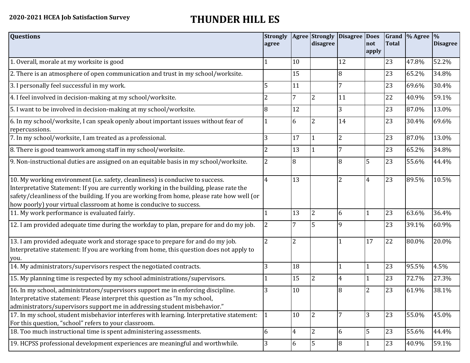## **2020-2021 HCEA Job Satisfaction Survey THUNDER HILL ES**

| <b>Questions</b>                                                                                                                                                                                                                                                                                                                               | <b>Strongly</b><br>agree |                | <b>Agree</b> Strongly<br>disagree | Disagree Does  | not<br>apply   | <b>Total</b> | Grand $\frac{9}{6}$ Agree $\frac{9}{6}$ | <b>Disagree</b> |
|------------------------------------------------------------------------------------------------------------------------------------------------------------------------------------------------------------------------------------------------------------------------------------------------------------------------------------------------|--------------------------|----------------|-----------------------------------|----------------|----------------|--------------|-----------------------------------------|-----------------|
| 1. Overall, morale at my worksite is good                                                                                                                                                                                                                                                                                                      |                          | 10             |                                   | 12             |                | 23           | 47.8%                                   | 52.2%           |
| 2. There is an atmosphere of open communication and trust in my school/worksite.                                                                                                                                                                                                                                                               |                          | 15             |                                   | 8              |                | 23           | 65.2%                                   | 34.8%           |
| 3. I personally feel successful in my work.                                                                                                                                                                                                                                                                                                    | 5                        | 11             |                                   | 7              |                | 23           | 69.6%                                   | 30.4%           |
| 4. I feel involved in decision-making at my school/worksite.                                                                                                                                                                                                                                                                                   | 2                        | $\overline{7}$ | $\overline{2}$                    | 11             |                | 22           | 40.9%                                   | 59.1%           |
| 5. I want to be involved in decision-making at my school/worksite.                                                                                                                                                                                                                                                                             | 8                        | 12             |                                   | 3              |                | 23           | 87.0%                                   | 13.0%           |
| 6. In my school/worksite, I can speak openly about important issues without fear of<br>repercussions.                                                                                                                                                                                                                                          |                          | 6              | $\overline{2}$                    | 14             |                | 23           | 30.4%                                   | 69.6%           |
| 7. In my school/worksite, I am treated as a professional.                                                                                                                                                                                                                                                                                      | 3                        | 17             |                                   | $\overline{2}$ |                | 23           | 87.0%                                   | 13.0%           |
| 8. There is good teamwork among staff in my school/worksite.                                                                                                                                                                                                                                                                                   |                          | 13             |                                   | 7              |                | 23           | 65.2%                                   | 34.8%           |
| 9. Non-instructional duties are assigned on an equitable basis in my school/worksite.                                                                                                                                                                                                                                                          | $\overline{2}$           | 8              |                                   | 8              | 5              | 23           | 55.6%                                   | 44.4%           |
| 10. My working environment (i.e. safety, cleanliness) is conducive to success.<br>Interpretative Statement: If you are currently working in the building, please rate the<br>safety/cleanliness of the building. If you are working from home, please rate how well (or<br>how poorly) your virtual classroom at home is conducive to success. | $\overline{4}$           | 13             |                                   | $\overline{2}$ | $\overline{4}$ | 23           | 89.5%                                   | 10.5%           |
| 11. My work performance is evaluated fairly.                                                                                                                                                                                                                                                                                                   |                          | 13             | $\overline{2}$                    | 6              |                | 23           | 63.6%                                   | 36.4%           |
| 12. I am provided adequate time during the workday to plan, prepare for and do my job.                                                                                                                                                                                                                                                         | $\overline{2}$           |                | 5                                 | 9              |                | 23           | 39.1%                                   | 60.9%           |
| 13. I am provided adequate work and storage space to prepare for and do my job.<br>Interpretative statement: If you are working from home, this question does not apply to<br>you.                                                                                                                                                             | $\overline{2}$           | $\overline{2}$ |                                   |                | 17             | 22           | 80.0%                                   | 20.0%           |
| 14. My administrators/supervisors respect the negotiated contracts.                                                                                                                                                                                                                                                                            | 3                        | 18             |                                   | 1              | $\mathbf{1}$   | 23           | 95.5%                                   | 4.5%            |
| 15. My planning time is respected by my school administrations/supervisors.                                                                                                                                                                                                                                                                    |                          | 15             | $\overline{2}$                    | 4              |                | 23           | 72.7%                                   | 27.3%           |
| 16. In my school, administrators/supervisors support me in enforcing discipline.<br>Interpretative statement: Please interpret this question as "In my school,<br>administrators/supervisors support me in addressing student misbehavior."                                                                                                    | 3                        | 10             |                                   | 8              | $\overline{2}$ | 23           | 61.9%                                   | 38.1%           |
| 17. In my school, student misbehavior interferes with learning. Interpretative statement:<br>For this question, "school" refers to your classroom.                                                                                                                                                                                             | 1                        | 10             | $\overline{2}$                    | 7              | 3              | 23           | 55.0%                                   | 45.0%           |
| 18. Too much instructional time is spent administering assessments.                                                                                                                                                                                                                                                                            | 6                        | $\overline{4}$ | $\overline{2}$                    | 6              | 5              | 23           | 55.6%                                   | 44.4%           |
| 19. HCPSS professional development experiences are meaningful and worthwhile.                                                                                                                                                                                                                                                                  | 3                        | 6              | $\overline{5}$                    | $\overline{8}$ |                | 23           | 40.9%                                   | 59.1%           |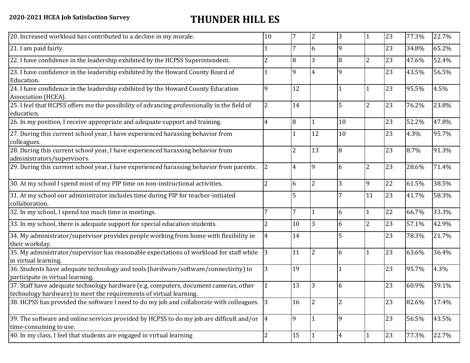## **2020-2021 HCEA Job Satisfaction Survey THUNDER HILL ES**

| 20. Increased workload has contributed to a decline in my morale.                                                                                          | 10              | 7              | $\overline{2}$ | 3        | -1             | 23 | 77.3% | 22.7% |
|------------------------------------------------------------------------------------------------------------------------------------------------------------|-----------------|----------------|----------------|----------|----------------|----|-------|-------|
| 21. I am paid fairly.                                                                                                                                      |                 | 7              | 6              | 9        |                | 23 | 34.8% | 65.2% |
| 22. I have confidence in the leadership exhibited by the HCPSS Superintendent.                                                                             | $\overline{2}$  | 8              | 3              | 8        | $\overline{2}$ | 23 | 47.6% | 52.4% |
| 23. I have confidence in the leadership exhibited by the Howard County Board of<br>Education.                                                              |                 | 9              | 4              |          |                | 23 | 43.5% | 56.5% |
| 24. I have confidence in the leadership exhibited by the Howard County Education<br>Association (HCEA).                                                    | 9               | 12             |                |          | $\mathbf{1}$   | 23 | 95.5% | 4.5%  |
| 25. I feel that HCPSS offers me the possibility of advancing professionally in the field of<br>education.                                                  | $\overline{2}$  | 14             |                | 5        | $\overline{2}$ | 23 | 76.2% | 23.8% |
| 26. In my position, I receive appropriate and adequate support and training.                                                                               | 4               | 8              |                | 10       |                | 23 | 52.2% | 47.8% |
| 27. During this current school year, I have experienced harassing behavior from<br>colleagues.                                                             |                 |                | 12             | 10       |                | 23 | 4.3%  | 95.7% |
| 28. During this current school year, I have experienced harassing behavior from<br>administrators/supervisors.                                             |                 | 2              | 13             | 8        |                | 23 | 8.7%  | 91.3% |
| 29. During this current school year, I have experienced harassing behavior from parents.                                                                   | $\overline{2}$  | 4              | 9              | 6        | $\overline{2}$ | 23 | 28.6% | 71.4% |
| 30. At my school I spend most of my PIP time on non-instructional activities.                                                                              | $\overline{2}$  | 6              | $\overline{2}$ | 3        | 9              | 22 | 61.5% | 38.5% |
| 31. At my school our administrator includes time during PIP for teacher-initiated<br>collaboration.                                                        |                 | 5              |                |          | 11             | 23 | 41.7% | 58.3% |
| 32. In my school, I spend too much time in meetings.                                                                                                       | 7               | $\overline{7}$ |                | 6        | $\mathbf{1}$   | 22 | 66.7% | 33.3% |
| 33. In my school, there is adequate support for special education students.                                                                                | $\overline{2}$  | 10             | 3              | 6        | $\overline{2}$ | 23 | 57.1% | 42.9% |
| 34. My administrator/supervisor provides people working from home with flexibility in<br>their workday.                                                    | 4               | 14             |                |          |                | 23 | 78.3% | 21.7% |
| 35. My administrator/supervisor has reasonable expectations of workload for staff while<br>in virtual learning.                                            | 3               | 11             | <sup>2</sup>   | 6        | $\mathbf{1}$   | 23 | 63.6% | 36.4% |
| 36. Students have adequate technology and tools (hardware/software/connectivity) to<br>participate in virtual learning.                                    | 3               | 19             |                |          |                | 23 | 95.7% | 4.3%  |
| 37. Staff have adequate technology hardware (e.g. computers, document cameras, other<br>technology hardware) to meet the requirements of virtual learning. |                 | 13             |                | 6        |                | 23 | 60.9% | 39.1% |
| 38. HCPSS has provided the software I need to do my job and collaborate with colleagues. 3                                                                 |                 | 16             |                |          |                | 23 | 82.6% | 17.4% |
| 39. The software and online services provided by HCPSS to do my job are difficult and/or<br>time-consuming to use.                                         | $\vert 4 \vert$ | 9              |                | <b>9</b> |                | 23 | 56.5% | 43.5% |
| 40. In my class, I feel that students are engaged in virtual learning                                                                                      | $\overline{2}$  | 15             |                | 4        |                | 23 | 77.3% | 22.7% |